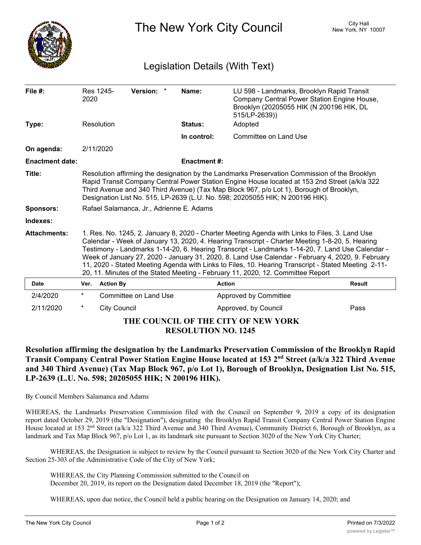

The New York City Council New York, NY 10007

## Legislation Details (With Text)

| File #:                            | 2020                                                                                                                                                                                                                                                                                                                                                                                                                                                                                                                                                                                                 | Res 1245-           | Version: *            | Name:               | LU 598 - Landmarks, Brooklyn Rapid Transit<br>Company Central Power Station Engine House,<br>Brooklyn (20205055 HIK (N 200196 HIK, DL<br>515/LP-2639)) |               |
|------------------------------------|------------------------------------------------------------------------------------------------------------------------------------------------------------------------------------------------------------------------------------------------------------------------------------------------------------------------------------------------------------------------------------------------------------------------------------------------------------------------------------------------------------------------------------------------------------------------------------------------------|---------------------|-----------------------|---------------------|--------------------------------------------------------------------------------------------------------------------------------------------------------|---------------|
| Type:                              |                                                                                                                                                                                                                                                                                                                                                                                                                                                                                                                                                                                                      | Resolution          |                       | Status:             | Adopted                                                                                                                                                |               |
|                                    |                                                                                                                                                                                                                                                                                                                                                                                                                                                                                                                                                                                                      |                     |                       | In control:         | Committee on Land Use                                                                                                                                  |               |
| On agenda:                         |                                                                                                                                                                                                                                                                                                                                                                                                                                                                                                                                                                                                      | 2/11/2020           |                       |                     |                                                                                                                                                        |               |
| <b>Enactment date:</b>             |                                                                                                                                                                                                                                                                                                                                                                                                                                                                                                                                                                                                      |                     |                       | <b>Enactment #:</b> |                                                                                                                                                        |               |
| Title:                             | Resolution affirming the designation by the Landmarks Preservation Commission of the Brooklyn<br>Rapid Transit Company Central Power Station Engine House located at 153 2nd Street (a/k/a 322<br>Third Avenue and 340 Third Avenue) (Tax Map Block 967, p/o Lot 1), Borough of Brooklyn,<br>Designation List No. 515, LP-2639 (L.U. No. 598; 20205055 HIK; N 200196 HIK).                                                                                                                                                                                                                           |                     |                       |                     |                                                                                                                                                        |               |
| Sponsors:                          | Rafael Salamanca, Jr., Adrienne E. Adams                                                                                                                                                                                                                                                                                                                                                                                                                                                                                                                                                             |                     |                       |                     |                                                                                                                                                        |               |
| Indexes:                           |                                                                                                                                                                                                                                                                                                                                                                                                                                                                                                                                                                                                      |                     |                       |                     |                                                                                                                                                        |               |
| <b>Attachments:</b>                | 1. Res. No. 1245, 2. January 8, 2020 - Charter Meeting Agenda with Links to Files, 3. Land Use<br>Calendar - Week of January 13, 2020, 4. Hearing Transcript - Charter Meeting 1-8-20, 5. Hearing<br>Testimony - Landmarks 1-14-20, 6. Hearing Transcript - Landmarks 1-14-20, 7. Land Use Calendar -<br>Week of January 27, 2020 - January 31, 2020, 8. Land Use Calendar - February 4, 2020, 9. February<br>11, 2020 - Stated Meeting Agenda with Links to Files, 10. Hearing Transcript - Stated Meeting 2-11-<br>20, 11. Minutes of the Stated Meeting - February 11, 2020, 12. Committee Report |                     |                       |                     |                                                                                                                                                        |               |
| <b>Date</b>                        | Ver.                                                                                                                                                                                                                                                                                                                                                                                                                                                                                                                                                                                                 | <b>Action By</b>    |                       |                     | <b>Action</b>                                                                                                                                          | <b>Result</b> |
| 2/4/2020                           | $\star$                                                                                                                                                                                                                                                                                                                                                                                                                                                                                                                                                                                              |                     | Committee on Land Use |                     | Approved by Committee                                                                                                                                  |               |
| 2/11/2020                          | $^\star$                                                                                                                                                                                                                                                                                                                                                                                                                                                                                                                                                                                             | <b>City Council</b> |                       |                     | Approved, by Council                                                                                                                                   | Pass          |
| THE COUNCH OF THE CITY OF NEW VODK |                                                                                                                                                                                                                                                                                                                                                                                                                                                                                                                                                                                                      |                     |                       |                     |                                                                                                                                                        |               |

## **THE COUNCIL OF THE CITY OF NEW YORK RESOLUTION NO. 1245**

**Resolution affirming the designation by the Landmarks Preservation Commission of the Brooklyn Rapid Transit Company Central Power Station Engine House located at 153 2nd Street (a/k/a 322 Third Avenue** and 340 Third Avenue) (Tax Map Block 967, p/o Lot 1), Borough of Brooklyn, Designation List No. 515, **LP-2639 (L.U. No. 598; 20205055 HIK; N 200196 HIK).**

By Council Members Salamanca and Adams

WHEREAS, the Landmarks Preservation Commission filed with the Council on September 9, 2019 a copy of its designation report dated October 29, 2019 (the "Designation"), designating the Brooklyn Rapid Transit Company Central Power Station Engine House located at 153 2<sup>nd</sup> Street (a/k/a 322 Third Avenue and 340 Third Avenue), Community District 6, Borough of Brooklyn, as a landmark and Tax Map Block 967, p/o Lot 1, as its landmark site pursuant to Section 3020 of the New York City Charter;

WHEREAS, the Designation is subject to review by the Council pursuant to Section 3020 of the New York City Charter and Section 25-303 of the Administrative Code of the City of New York;

WHEREAS, the City Planning Commission submitted to the Council on December 20, 2019, its report on the Designation dated December 18, 2019 (the "Report");

WHEREAS, upon due notice, the Council held a public hearing on the Designation on January 14, 2020; and